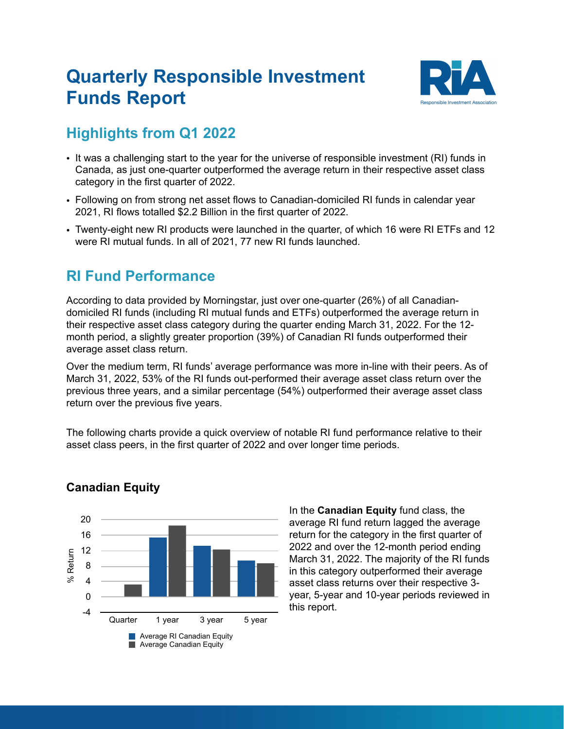## **Quarterly Responsible Investment Funds Report**



## **Highlights from Q1 2022**

- It was a challenging start to the year for the universe of responsible investment (RI) funds in Canada, as just one-quarter outperformed the average return in their respective asset class category in the first quarter of 2022.
- Following on from strong net asset flows to Canadian-domiciled RI funds in calendar year 2021, RI flows totalled \$2.2 Billion in the first quarter of 2022.
- Twenty-eight new RI products were launched in the quarter, of which 16 were RI ETFs and 12 were RI mutual funds. In all of 2021, 77 new RI funds launched.

## **RI Fund Performance**

According to data provided by Morningstar, just over one-quarter (26%) of all Canadiandomiciled RI funds (including RI mutual funds and ETFs) outperformed the average return in their respective asset class category during the quarter ending March 31, 2022. For the 12 month period, a slightly greater proportion (39%) of Canadian RI funds outperformed their average asset class return.

Over the medium term, RI funds' average performance was more in-line with their peers. As of March 31, 2022, 53% of the RI funds out-performed their average asset class return over the previous three years, and a similar percentage (54%) outperformed their average asset class return over the previous five years.

The following charts provide a quick overview of notable RI fund performance relative to their asset class peers, in the first quarter of 2022 and over longer time periods.



### **Canadian Equity**

In the **Canadian Equity** fund class, the average RI fund return lagged the average return for the category in the first quarter of 2022 and over the 12-month period ending March 31, 2022. The majority of the RI funds in this category outperformed their average asset class returns over their respective 3 year, 5-year and 10-year periods reviewed in this report.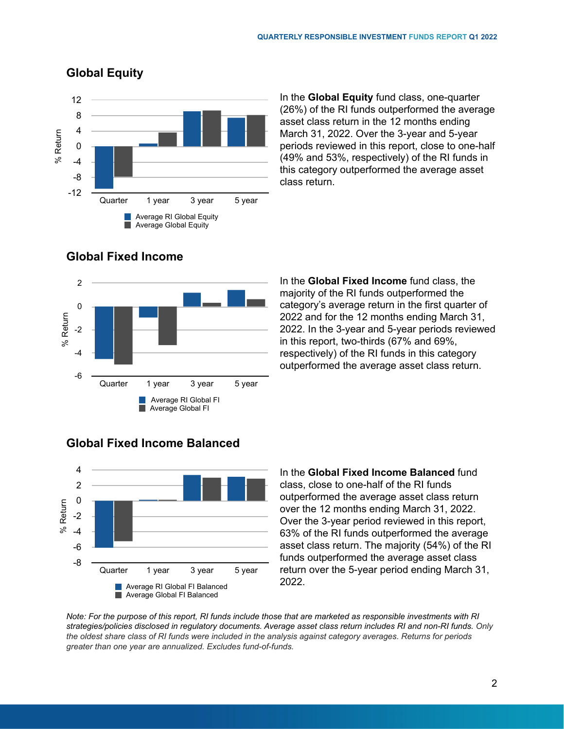

**Global Equity**

In the **Global Equity** fund class, one-quarter (26%) of the RI funds outperformed the average asset class return in the 12 months ending March 31, 2022. Over the 3-year and 5-year periods reviewed in this report, close to one-half (49% and 53%, respectively) of the RI funds in this category outperformed the average asset class return.



#### **Global Fixed Income**

In the **Global Fixed Income** fund class, the majority of the RI funds outperformed the category's average return in the first quarter of 2022 and for the 12 months ending March 31, 2022. In the 3-year and 5-year periods reviewed in this report, two-thirds (67% and 69%, respectively) of the RI funds in this category outperformed the average asset class return.



#### **Global Fixed Income Balanced**

In the **Global Fixed Income Balanced** fund class, close to one-half of the RI funds outperformed the average asset class return over the 12 months ending March 31, 2022. Over the 3-year period reviewed in this report, 63% of the RI funds outperformed the average asset class return. The majority (54%) of the RI funds outperformed the average asset class return over the 5-year period ending March 31, 2022.

*Note: For the purpose of this report, RI funds include those that are marketed as responsible investments with RI strategies/policies disclosed in regulatory documents. Average asset class return includes RI and non-RI funds. Only the oldest share class of RI funds were included in the analysis against category averages. Returns for periods greater than one year are annualized. Excludes fund-of-funds.*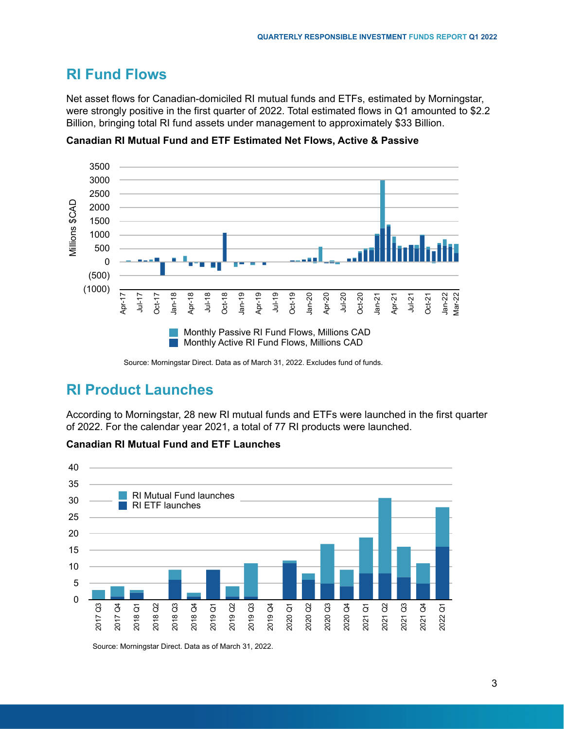## **RI Fund Flows**

Net asset flows for Canadian-domiciled RI mutual funds and ETFs, estimated by Morningstar, were strongly positive in the first quarter of 2022. Total estimated flows in Q1 amounted to \$2.2 Billion, bringing total RI fund assets under management to approximately \$33 Billion.



**Canadian RI Mutual Fund and ETF Estimated Net Flows, Active & Passive** 

Source: Morningstar Direct. Data as of March 31, 2022. Excludes fund of funds.

## **RI Product Launches**

According to Morningstar, 28 new RI mutual funds and ETFs were launched in the first quarter of 2022. For the calendar year 2021, a total of 77 RI products were launched.





Source: Morningstar Direct. Data as of March 31, 2022.